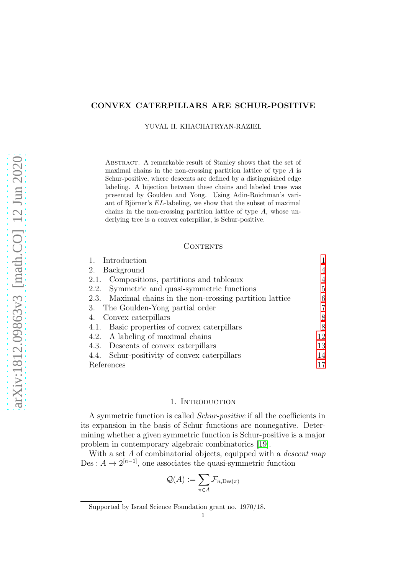# CONVEX CATERPILLARS ARE SCHUR-POSITIVE

YUVAL H. KHACHATRYAN-RAZIEL

ABSTRACT. A remarkable result of Stanley shows that the set of maximal chains in the non-crossing partition lattice of type A is Schur-positive, where descents are defined by a distinguished edge labeling. A bijection between these chains and labeled trees was presented by Goulden and Yong. Using Adin-Roichman's variant of Björner's  $EL$ -labeling, we show that the subset of maximal chains in the non-crossing partition lattice of type A, whose underlying tree is a convex caterpillar, is Schur-positive.

### CONTENTS

| Introduction                                              |    |
|-----------------------------------------------------------|----|
| 2. Background                                             |    |
| 2.1. Compositions, partitions and tableaux                | 4  |
| 2.2. Symmetric and quasi-symmetric functions              | 5  |
| 2.3. Maximal chains in the non-crossing partition lattice | 6  |
| 3. The Goulden-Yong partial order                         |    |
| 4. Convex caterpillars                                    | 8  |
| 4.1. Basic properties of convex caterpillars              |    |
| 4.2. A labeling of maximal chains                         | 12 |
| 4.3. Descents of convex caterpillars                      | 13 |
| 4.4. Schur-positivity of convex caterpillars              | 14 |
| References                                                |    |

### 1. INTRODUCTION

<span id="page-0-0"></span>A symmetric function is called Schur-positive if all the coefficients in its expansion in the basis of Schur functions are nonnegative. Determining whether a given symmetric function is Schur-positive is a major problem in contemporary algebraic combinatorics [\[19\]](#page-16-1).

With a set A of combinatorial objects, equipped with a *descent map* Des :  $A \to 2^{[n-1]}$ , one associates the quasi-symmetric function

$$
\mathcal{Q}(A) := \sum_{\pi \in A} \mathcal{F}_{n,\text{Des}(\pi)}
$$

Supported by Israel Science Foundation grant no. 1970/18.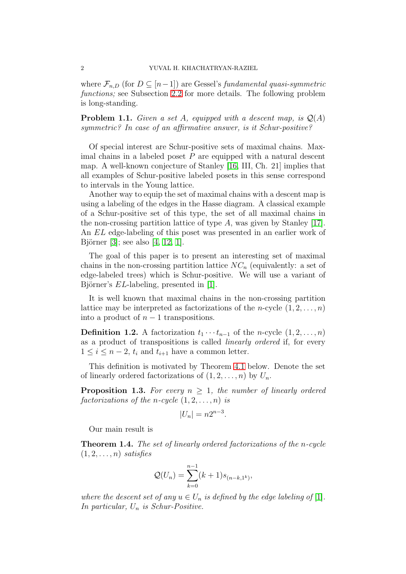where  $\mathcal{F}_{n,D}$  (for  $D \subseteq [n-1]$ ) are Gessel's fundamental quasi-symmetric functions; see Subsection [2.2](#page-4-0) for more details. The following problem is long-standing.

**Problem 1.1.** Given a set A, equipped with a descent map, is  $Q(A)$ symmetric? In case of an affirmative answer, is it Schur-positive?

Of special interest are Schur-positive sets of maximal chains. Maximal chains in a labeled poset  $P$  are equipped with a natural descent map. A well-known conjecture of Stanley [\[16,](#page-16-2) III, Ch. 21] implies that all examples of Schur-positive labeled posets in this sense correspond to intervals in the Young lattice.

Another way to equip the set of maximal chains with a descent map is using a labeling of the edges in the Hasse diagram. A classical example of a Schur-positive set of this type, the set of all maximal chains in the non-crossing partition lattice of type  $A$ , was given by Stanley [\[17\]](#page-16-3). An EL edge-labeling of this poset was presented in an earlier work of Björner [\[3\]](#page-16-4); see also  $[4, 12, 1]$  $[4, 12, 1]$  $[4, 12, 1]$ .

The goal of this paper is to present an interesting set of maximal chains in the non-crossing partition lattice  $NC_n$  (equivalently: a set of edge-labeled trees) which is Schur-positive. We will use a variant of Björner's  $EL$ -labeling, presented in [\[1\]](#page-16-7).

It is well known that maximal chains in the non-crossing partition lattice may be interpreted as factorizations of the *n*-cycle  $(1, 2, \ldots, n)$ into a product of  $n-1$  transpositions.

**Definition 1.2.** A factorization  $t_1 \cdots t_{n-1}$  of the n-cycle  $(1, 2, \ldots, n)$ as a product of transpositions is called linearly ordered if, for every  $1 \leq i \leq n-2$ ,  $t_i$  and  $t_{i+1}$  have a common letter.

This definition is motivated by Theorem [4.1](#page-8-0) below. Denote the set of linearly ordered factorizations of  $(1, 2, \ldots, n)$  by  $U_n$ .

**Proposition 1.3.** For every  $n \geq 1$ , the number of linearly ordered factorizations of the n-cycle  $(1, 2, \ldots, n)$  is

$$
|U_n|=n2^{n-3}.
$$

Our main result is

<span id="page-1-0"></span>Theorem 1.4. The set of linearly ordered factorizations of the n-cycle  $(1, 2, \ldots, n)$  satisfies

$$
\mathcal{Q}(U_n) = \sum_{k=0}^{n-1} (k+1) s_{(n-k,1^k)},
$$

where the descent set of any  $u \in U_n$  is defined by the edge labeling of [\[1\]](#page-16-7). In particular,  $U_n$  is Schur-Positive.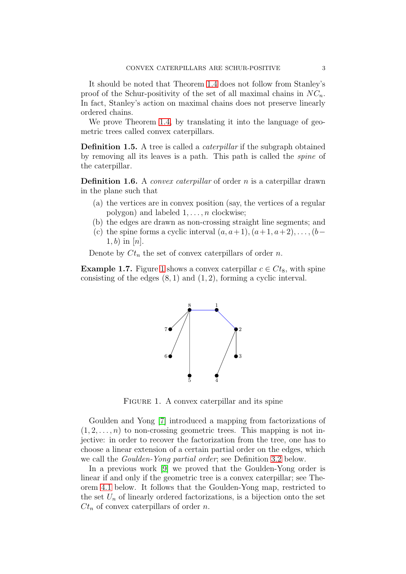It should be noted that Theorem [1.4](#page-1-0) does not follow from Stanley's proof of the Schur-positivity of the set of all maximal chains in  $NC_n$ . In fact, Stanley's action on maximal chains does not preserve linearly ordered chains.

We prove Theorem [1.4,](#page-1-0) by translating it into the language of geometric trees called convex caterpillars.

**Definition 1.5.** A tree is called a *caterpillar* if the subgraph obtained by removing all its leaves is a path. This path is called the spine of the caterpillar.

**Definition 1.6.** A *convex caterpillar* of order n is a caterpillar drawn in the plane such that

- (a) the vertices are in convex position (say, the vertices of a regular polygon) and labeled  $1, \ldots, n$  clockwise;
- (b) the edges are drawn as non-crossing straight line segments; and
- (c) the spine forms a cyclic interval  $(a, a+1), (a+1, a+2), \ldots, (b-1)$  $1, b)$  in  $[n]$ .

Denote by  $C_t$  the set of convex caterpillars of order n.

**Example [1](#page-2-0).7.** Figure 1 shows a convex caterpillar  $c \in C_t$ , with spine consisting of the edges  $(8, 1)$  and  $(1, 2)$ , forming a cyclic interval.



<span id="page-2-0"></span>FIGURE 1. A convex caterpillar and its spine

Goulden and Yong [\[7\]](#page-16-8) introduced a mapping from factorizations of  $(1, 2, \ldots, n)$  to non-crossing geometric trees. This mapping is not injective: in order to recover the factorization from the tree, one has to choose a linear extension of a certain partial order on the edges, which we call the Goulden-Yong partial order; see Definition [3.2](#page-7-2) below.

In a previous work [\[9\]](#page-16-9) we proved that the Goulden-Yong order is linear if and only if the geometric tree is a convex caterpillar; see Theorem [4.1](#page-8-0) below. It follows that the Goulden-Yong map, restricted to the set  $U_n$  of linearly ordered factorizations, is a bijection onto the set  $C_t$  of convex caterpillars of order n.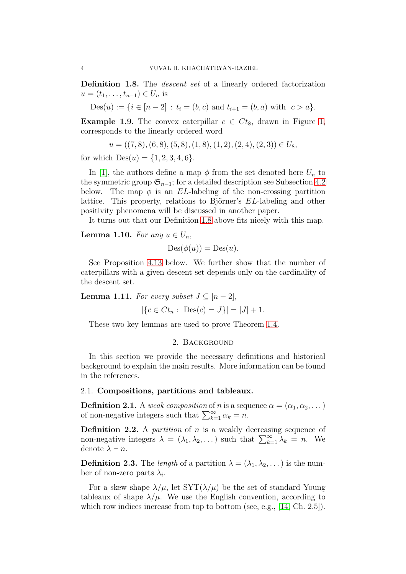<span id="page-3-2"></span>Definition 1.8. The *descent set* of a linearly ordered factorization  $u = (t_1, \ldots, t_{n-1}) \in U_n$  is

$$
Des(u) := \{ i \in [n-2] : t_i = (b, c) \text{ and } t_{i+1} = (b, a) \text{ with } c > a \}.
$$

**Example 1.9.** The convex caterpillar  $c \in C t_8$ , drawn in Figure [1,](#page-2-0) corresponds to the linearly ordered word

 $u = ((7, 8), (6, 8), (5, 8), (1, 8), (1, 2), (2, 4), (2, 3)) \in U_8,$ 

for which  $Des(u) = \{1, 2, 3, 4, 6\}.$ 

In [\[1\]](#page-16-7), the authors define a map  $\phi$  from the set denoted here  $U_n$  to the symmetric group  $\mathfrak{S}_{n-1}$ ; for a detailed description see Subsection [4.2](#page-11-0) below. The map  $\phi$  is an EL-labeling of the non-crossing partition lattice. This property, relations to Björner's EL-labeling and other positivity phenomena will be discussed in another paper.

It turns out that our Definition [1.8](#page-3-2) above fits nicely with this map.

**Lemma 1.10.** For any  $u \in U_n$ ,

$$
Des(\phi(u)) = Des(u).
$$

See Proposition [4.13](#page-12-1) below. We further show that the number of caterpillars with a given descent set depends only on the cardinality of the descent set.

**Lemma 1.11.** For every subset  $J \subseteq [n-2]$ ,

$$
|\{c \in Ct_n : Des(c) = J\}| = |J| + 1.
$$

<span id="page-3-0"></span>These two key lemmas are used to prove Theorem [1.4.](#page-1-0)

### 2. Background

In this section we provide the necessary definitions and historical background to explain the main results. More information can be found in the references.

# <span id="page-3-1"></span>2.1. Compositions, partitions and tableaux.

**Definition 2.1.** A weak composition of n is a sequence  $\alpha = (\alpha_1, \alpha_2, \dots)$ of non-negative integers such that  $\sum_{k=1}^{\infty} \alpha_k = n$ .

**Definition 2.2.** A *partition* of  $n$  is a weakly decreasing sequence of non-negative integers  $\lambda = (\lambda_1, \lambda_2, \dots)$  such that  $\sum_{k=1}^{\infty} \lambda_k = n$ . We denote  $\lambda \vdash n$ .

**Definition 2.3.** The length of a partition  $\lambda = (\lambda_1, \lambda_2, \dots)$  is the number of non-zero parts  $\lambda_i$ .

For a skew shape  $\lambda/\mu$ , let  $SYT(\lambda/\mu)$  be the set of standard Young tableaux of shape  $\lambda/\mu$ . We use the English convention, according to which row indices increase from top to bottom (see, e.g.,  $[14, Ch. 2.5]$ ).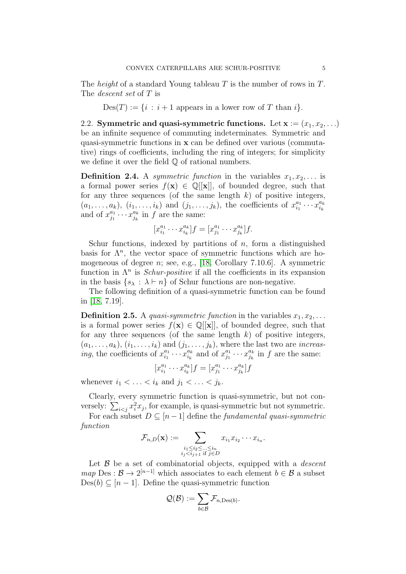The *height* of a standard Young tableau  $T$  is the number of rows in  $T$ . The descent set of T is

 $Des(T) := \{i : i + 1$  appears in a lower row of T than i.

<span id="page-4-0"></span>2.2. Symmetric and quasi-symmetric functions. Let  $x := (x_1, x_2, \ldots)$ be an infinite sequence of commuting indeterminates. Symmetric and quasi-symmetric functions in x can be defined over various (commutative) rings of coefficients, including the ring of integers; for simplicity we define it over the field Q of rational numbers.

**Definition 2.4.** A symmetric function in the variables  $x_1, x_2, \ldots$  is a formal power series  $f(\mathbf{x}) \in \mathbb{Q}[[\mathbf{x}]]$ , of bounded degree, such that for any three sequences (of the same length  $k$ ) of positive integers,  $(a_1, \ldots, a_k), (i_1, \ldots, i_k)$  and  $(j_1, \ldots, j_k)$ , the coefficients of  $x_{i_1}^{a_1}$  $\overline{\begin{smallmatrix} a_1 & \ldots & a_k \ i_1 & \cdots & x_{i_k} \end{smallmatrix}}$  $i_k$ and of  $x_{i_1}^{a_1}$  $\frac{a_1}{j_1} \cdots x_{j_k}^{a_k}$  $_{j_k}^{a_k}$  in f are the same:

$$
[x_{i_1}^{a_1} \cdots x_{i_k}^{a_k}]f = [x_{j_1}^{a_1} \cdots x_{j_k}^{a_k}]f.
$$

Schur functions, indexed by partitions of  $n$ , form a distinguished basis for  $\Lambda^n$ , the vector space of symmetric functions which are homogeneous of degree  $n$ ; see, e.g., [\[18,](#page-16-11) Corollary 7.10.6]. A symmetric function in  $\Lambda^n$  is *Schur-positive* if all the coefficients in its expansion in the basis  $\{s_\lambda : \lambda \vdash n\}$  of Schur functions are non-negative.

The following definition of a quasi-symmetric function can be found in [\[18,](#page-16-11) 7.19].

**Definition 2.5.** A *quasi-symmetric function* in the variables  $x_1, x_2, \ldots$ is a formal power series  $f(\mathbf{x}) \in \mathbb{Q}[[\mathbf{x}]]$ , of bounded degree, such that for any three sequences (of the same length  $k$ ) of positive integers,  $(a_1, \ldots, a_k), (i_1, \ldots, i_k)$  and  $(j_1, \ldots, j_k)$ , where the last two are *increasing*, the coefficients of  $x_{i_1}^{a_1}$  $\frac{a_1}{i_1} \cdots x_{i_k}^{a_k}$  $a_k$  and of  $x_{j_1}^{a_1}$  $\frac{a_1}{j_1} \cdots x_{j_k}^{a_k}$  $_{j_k}^{a_k}$  in f are the same:

$$
[x_{i_1}^{a_1} \cdots x_{i_k}^{a_k}]f = [x_{j_1}^{a_1} \cdots x_{j_k}^{a_k}]f
$$

whenever  $i_1 < \ldots < i_k$  and  $j_1 < \ldots < j_k$ .

Clearly, every symmetric function is quasi-symmetric, but not conversely:  $\sum_{i < j} x_i^2 x_j$ , for example, is quasi-symmetric but not symmetric.

For each subset  $D \subseteq [n-1]$  define the fundamental quasi-symmetric function

$$
\mathcal{F}_{n,D}(\mathbf{x}) := \sum_{\substack{i_1 \leq i_2 \leq \dots \leq i_n \\ i_j < i_{j+1} \text{ if } j \in D}} x_{i_1} x_{i_2} \cdots x_{i_n}.
$$

Let  $\beta$  be a set of combinatorial objects, equipped with a *descent*  $map \, \text{Des} : \mathcal{B} \to 2^{[n-1]}$  which associates to each element  $b \in \mathcal{B}$  a subset  $Des(b) \subseteq [n-1]$ . Define the quasi-symmetric function

$$
\mathcal{Q}(\mathcal{B}):=\sum_{b\in\mathcal{B}}\mathcal{F}_{n,\textup{Des}(b)}.
$$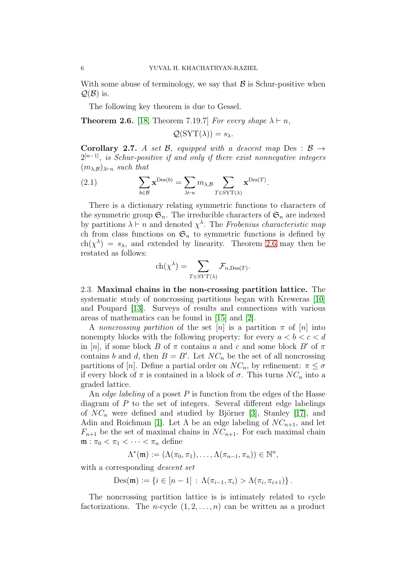With some abuse of terminology, we say that  $\beta$  is Schur-positive when  $\mathcal{Q}(\mathcal{B})$  is.

The following key theorem is due to Gessel.

<span id="page-5-1"></span>**Theorem 2.6.** [\[18,](#page-16-11) Theorem 7.19.7] For every shape  $\lambda \vdash n$ ,

$$
\mathcal{Q}(\text{SYT}(\lambda)) = s_{\lambda}.
$$

**Corollary 2.7.** A set B, equipped with a descent map Des :  $\beta \rightarrow$  $2^{[n-1]}$ , is Schur-positive if and only if there exist nonnegative integers  $(m_{\lambda,\mathcal{B}})_{\lambda\vdash n}$  such that

(2.1) 
$$
\sum_{b \in \mathcal{B}} \mathbf{x}^{\text{Des}(b)} = \sum_{\lambda \vdash n} m_{\lambda, \mathcal{B}} \sum_{T \in \text{SYT}(\lambda)} \mathbf{x}^{\text{Des}(T)}.
$$

There is a dictionary relating symmetric functions to characters of the symmetric group  $\mathfrak{S}_n$ . The irreducible characters of  $\mathfrak{S}_n$  are indexed by partitions  $\lambda \vdash n$  and denoted  $\chi^{\lambda}$ . The Frobenius characteristic map ch from class functions on  $\mathfrak{S}_n$  to symmetric functions is defined by  $ch(\chi^{\lambda}) = s_{\lambda}$ , and extended by linearity. Theorem [2.6](#page-5-1) may then be restated as follows:

$$
ch(\chi^{\lambda}) = \sum_{T \in SYT(\lambda)} \mathcal{F}_{n, Des(T)}.
$$

<span id="page-5-0"></span>2.3. Maximal chains in the non-crossing partition lattice. The systematic study of noncrossing partitions began with Kreweras [\[10\]](#page-16-12) and Poupard [\[13\]](#page-16-13). Surveys of results and connections with various areas of mathematics can be found in [\[15\]](#page-16-14) and [\[2\]](#page-16-15).

A noncrossing partition of the set [n] is a partition  $\pi$  of [n] into nonempty blocks with the following property: for every  $a < b < c < d$ in [n], if some block B of  $\pi$  contains a and c and some block B' of  $\pi$ contains b and d, then  $B = B'$ . Let  $NC_n$  be the set of all noncrossing partitions of [n]. Define a partial order on  $NC_n$ , by refinement:  $\pi \leq \sigma$ if every block of  $\pi$  is contained in a block of  $\sigma$ . This turns  $NC_n$  into a graded lattice.

An *edge labeling* of a poset  $P$  is function from the edges of the Hasse diagram of  $P$  to the set of integers. Several different edge labelings of  $NC_n$  were defined and studied by Björner [\[3\]](#page-16-4), Stanley [\[17\]](#page-16-3), and Adin and Roichman [\[1\]](#page-16-7). Let  $\Lambda$  be an edge labeling of  $NC_{n+1}$ , and let  $F_{n+1}$  be the set of maximal chains in  $NC_{n+1}$ . For each maximal chain  $\mathfrak{m} : \pi_0 < \pi_1 < \cdots < \pi_n$  define

$$
\Lambda^*(\mathfrak{m}) := (\Lambda(\pi_0, \pi_1), \dots, \Lambda(\pi_{n-1}, \pi_n)) \in \mathbb{N}^n,
$$

with a corresponding *descent set* 

$$
Des(\mathfrak{m}) := \{ i \in [n-1] : \Lambda(\pi_{i-1}, \pi_i) > \Lambda(\pi_i, \pi_{i+1}) \}.
$$

The noncrossing partition lattice is is intimately related to cycle factorizations. The *n*-cycle  $(1, 2, \ldots, n)$  can be written as a product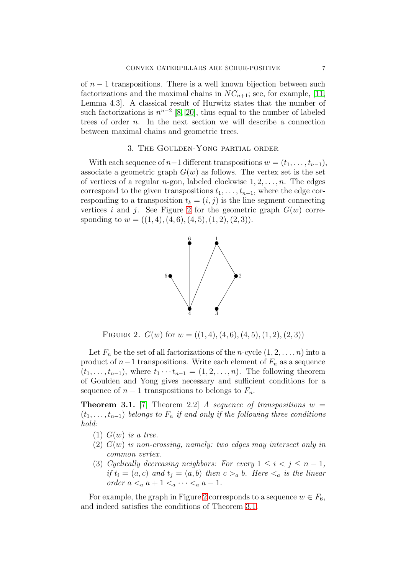of  $n-1$  transpositions. There is a well known bijection between such factorizations and the maximal chains in  $NC_{n+1}$ ; see, for example, [\[11,](#page-16-16) Lemma 4.3]. A classical result of Hurwitz states that the number of such factorizations is  $n^{n-2}$  [\[8,](#page-16-17) [20\]](#page-16-18), thus equal to the number of labeled trees of order n. In the next section we will describe a connection between maximal chains and geometric trees.

# 3. The Goulden-Yong partial order

<span id="page-6-0"></span>With each sequence of  $n-1$  different transpositions  $w = (t_1, \ldots, t_{n-1}),$ associate a geometric graph  $G(w)$  as follows. The vertex set is the set of vertices of a regular *n*-gon, labeled clockwise  $1, 2, \ldots, n$ . The edges correspond to the given transpositions  $t_1, \ldots, t_{n-1}$ , where the edge corresponding to a transposition  $t_k = (i, j)$  is the line segment connecting vertices i and j. See Figure [2](#page-6-1) for the geometric graph  $G(w)$  corresponding to  $w = ((1, 4), (4, 6), (4, 5), (1, 2), (2, 3)).$ 



<span id="page-6-1"></span>FIGURE 2.  $G(w)$  for  $w = ((1, 4), (4, 6), (4, 5), (1, 2), (2, 3))$ 

Let  $F_n$  be the set of all factorizations of the *n*-cycle  $(1, 2, \ldots, n)$  into a product of  $n-1$  transpositions. Write each element of  $F_n$  as a sequence  $(t_1, \ldots, t_{n-1})$ , where  $t_1 \cdots t_{n-1} = (1, 2, \ldots, n)$ . The following theorem of Goulden and Yong gives necessary and sufficient conditions for a sequence of  $n-1$  transpositions to belongs to  $F_n$ .

<span id="page-6-2"></span>**Theorem 3.1.** [\[7,](#page-16-8) Theorem 2.2] A sequence of transpositions  $w =$  $(t_1, \ldots, t_{n-1})$  belongs to  $F_n$  if and only if the following three conditions hold:

- $(1)$   $G(w)$  is a tree.
- $(2)$   $G(w)$  is non-crossing, namely: two edges may intersect only in common vertex.
- (3) Cyclically decreasing neighbors: For every  $1 \leq i < j \leq n-1$ , if  $t_i = (a, c)$  and  $t_j = (a, b)$  then  $c >_a b$ . Here  $\lt_a$  is the linear order  $a <_a a + 1 <_a \cdots <_a a - 1$ .

For example, the graph in Figure [2](#page-6-1) corresponds to a sequence  $w \in F_6$ , and indeed satisfies the conditions of Theorem [3.1.](#page-6-2)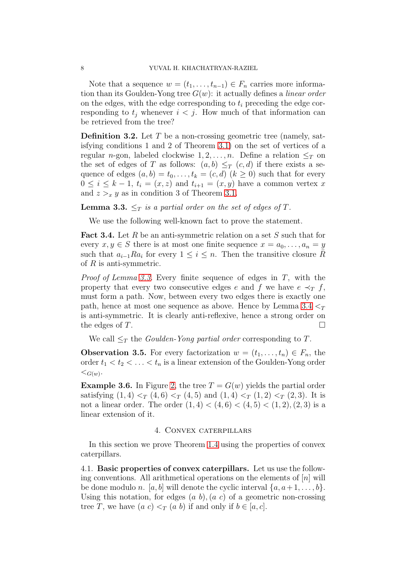Note that a sequence  $w = (t_1, \ldots, t_{n-1}) \in F_n$  carries more information than its Goulden-Yong tree  $G(w)$ : it actually defines a *linear order* on the edges, with the edge corresponding to  $t_i$  preceding the edge corresponding to  $t_j$  whenever  $i < j$ . How much of that information can be retrieved from the tree?

<span id="page-7-2"></span>**Definition 3.2.** Let  $T$  be a non-crossing geometric tree (namely, satisfying conditions 1 and 2 of Theorem [3.1\)](#page-6-2) on the set of vertices of a regular n-gon, labeled clockwise  $1, 2, \ldots, n$ . Define a relation  $\leq_T$  on the set of edges of T as follows:  $(a, b) \leq_T (c, d)$  if there exists a sequence of edges  $(a, b) = t_0, \ldots, t_k = (c, d)$   $(k \ge 0)$  such that for every  $0 \leq i \leq k-1$ ,  $t_i = (x, z)$  and  $t_{i+1} = (x, y)$  have a common vertex x and  $z >_x y$  as in condition 3 of Theorem [3.1.](#page-6-2)

<span id="page-7-3"></span>**Lemma 3.3.**  $\leq_T$  is a partial order on the set of edges of T.

We use the following well-known fact to prove the statement.

<span id="page-7-4"></span>**Fact 3.4.** Let R be an anti-symmetric relation on a set S such that for every  $x, y \in S$  there is at most one finite sequence  $x = a_0, \ldots, a_n = y$ such that  $a_{i-1}Ra_i$  for every  $1 \leq i \leq n$ . Then the transitive closure  $\tilde{R}$ of  $R$  is anti-symmetric.

*Proof of Lemma [3.3.](#page-7-3)* Every finite sequence of edges in  $T$ , with the property that every two consecutive edges e and f we have  $e \prec_T f$ , must form a path. Now, between every two edges there is exactly one path, hence at most one sequence as above. Hence by Lemma [3.4](#page-7-4)  $\leq_T$ is anti-symmetric. It is clearly anti-reflexive, hence a strong order on the edges of  $T$ .

We call  $\leq_T$  the *Goulden-Yong partial order* corresponding to T.

**Observation 3.5.** For every factorization  $w = (t_1, \ldots, t_n) \in F_n$ , the order  $t_1 < t_2 < \ldots < t_n$  is a linear extension of the Goulden-Yong order  $\lt_{G(w)}$ .

**Example 3.6.** In Figure [2,](#page-6-1) the tree  $T = G(w)$  yields the partial order satisfying  $(1, 4) <_T (4, 6) <_T (4, 5)$  and  $(1, 4) <_T (1, 2) <_T (2, 3)$ . It is not a linear order. The order  $(1, 4) < (4, 6) < (4, 5) < (1, 2), (2, 3)$  is a linear extension of it.

# 4. Convex caterpillars

<span id="page-7-0"></span>In this section we prove Theorem [1.4](#page-1-0) using the properties of convex caterpillars.

<span id="page-7-1"></span>4.1. Basic properties of convex caterpillars. Let us use the following conventions. All arithmetical operations on the elements of  $[n]$  will be done modulo n. [a, b] will denote the cyclic interval  $\{a, a+1, \ldots, b\}$ . Using this notation, for edges  $(a, b)$ ,  $(a, c)$  of a geometric non-crossing tree T, we have  $(a\ c) <_T (a\ b)$  if and only if  $b \in [a, c]$ .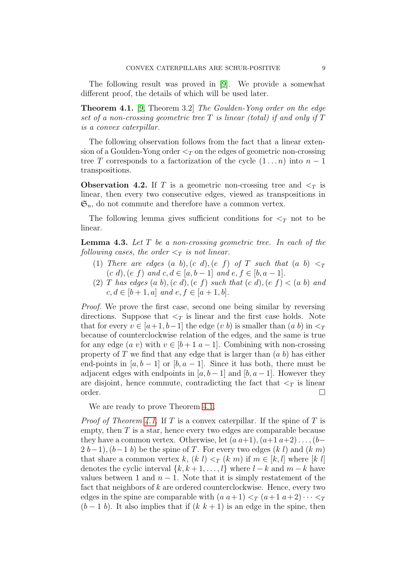The following result was proved in [\[9\]](#page-16-9). We provide a somewhat different proof, the details of which will be used later.

<span id="page-8-0"></span>Theorem 4.1. [\[9,](#page-16-9) Theorem 3.2] The Goulden-Yong order on the edge set of a non-crossing geometric tree  $T$  is linear (total) if and only if  $T$ is a convex caterpillar.

The following observation follows from the fact that a linear extension of a Goulden-Yong order  $\leq_T$  on the edges of geometric non-crossing tree T corresponds to a factorization of the cycle  $(1 \dots n)$  into  $n-1$ transpositions.

<span id="page-8-2"></span>**Observation 4.2.** If T is a geometric non-crossing tree and  $\leq_T$  is linear, then every two consecutive edges, viewed as transpositions in  $\mathfrak{S}_n$ , do not commute and therefore have a common vertex.

The following lemma gives sufficient conditions for  $\leq_T$  not to be linear.

<span id="page-8-1"></span>**Lemma 4.3.** Let  $T$  be a non-crossing geometric tree. In each of the following cases, the order  $\leq_T$  is not linear.

- (1) There are edges  $(a\;b),(c\;d),(e\;f)\;of\;T$  such that  $(a\;b)\leq_T$ (c d), (e f) and  $c, d \in [a, b-1]$  and  $e, f \in [b, a-1]$ .
- (2) T has edges  $(a\ b), (c\ d), (e\ f)$  such that  $(c\ d), (e\ f) < (a\ b)$  and  $c, d \in [b+1, a]$  and  $e, f \in [a+1, b]$ .

Proof. We prove the first case, second one being similar by reversing directions. Suppose that  $\leq_T$  is linear and the first case holds. Note that for every  $v \in [a+1, b-1]$  the edge  $(v, b)$  is smaller than  $(a, b)$  in  $\leq_T$ because of counterclockwise relation of the edges, and the same is true for any edge  $(a \, v)$  with  $v \in [b+1 \, a-1]$ . Combining with non-crossing property of T we find that any edge that is larger than  $(a, b)$  has either end-points in  $[a, b-1]$  or  $[b, a-1]$ . Since it has both, there must be adjacent edges with endpoints in  $[a, b-1]$  and  $[b, a-1]$ . However they are disjoint, hence commute, contradicting the fact that  $\leq_T$  is linear  $\Box$ order.  $\Box$ 

We are ready to prove Theorem [4.1.](#page-8-0)

*Proof of Theorem [4.1.](#page-8-0)* If T is a convex caterpillar. If the spine of T is empty, then  $T$  is a star, hence every two edges are comparable because they have a common vertex. Otherwise, let  $(a a+1)$ ,  $(a+1 a+2)$ ...,  $(b 2 (b-1)$ ,  $(b-1 b)$  be the spine of T. For every two edges  $(k l)$  and  $(k m)$ that share a common vertex k,  $(k \, l) \leq_T (k \, m)$  if  $m \in [k, l]$  where  $[k \, l]$ denotes the cyclic interval  $\{k, k+1, \ldots, l\}$  where  $l-k$  and  $m-k$  have values between 1 and  $n-1$ . Note that it is simply restatement of the fact that neighbors of  $k$  are ordered counterclockwise. Hence, every two edges in the spine are comparable with  $(a\ a+1) <_T (a+1\ a+2) \cdots <_T T$  $(b-1\;b)$ . It also implies that if  $(k\;k+1)$  is an edge in the spine, then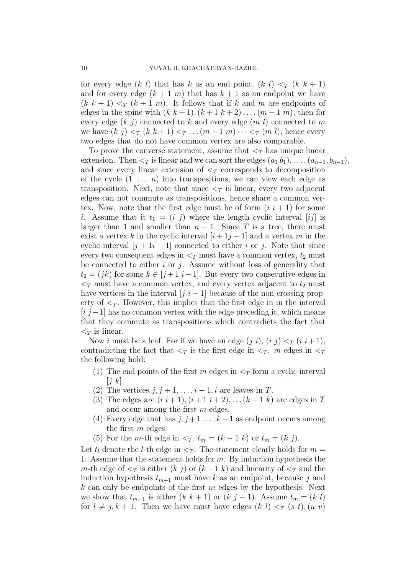for every edge (k l) that has k as an end point, (k l)  $\leq_T (k \; k+1)$ and for every edge  $(k + 1, m)$  that has  $k + 1$  as an endpoint we have  $(k k + 1) <_{T} (k + 1 m)$ . It follows that if k and m are endpoints of edges in the spine with  $(k k+1)$ ,  $(k+1 k+2)$ ..., $(m-1 m)$ , then for every edge  $(k \, j)$  connected to k and every edge  $(m \, l)$  connected to m we have  $(k \, j) \leq_T (k \, k + 1) \leq_T \ldots (m - 1 \, m) \cdots \leq_T (m \, l)$ , hence every two edges that do not have common vertex are also comparable.

To prove the converse statement, assume that  $\leq_T$  has unique linear extension. Then  $\leq_T$  is linear and we can sort the edges  $(a_1, b_1), \ldots, (a_{n-1}, b_{n-1}),$ and since every linear extension of  $\leq_T$  corresponds to decomposition of the cycle  $(1 \ldots n)$  into transpositions, we can view each edge as transposition. Next, note that since  $\leq_T$  is linear, every two adjacent edges can not commute as transpositions, hence share a common vertex. Now, note that the first edge must be of form  $(i i + 1)$  for some i. Assume that it  $t_1 = (i \, j)$  where the length cyclic interval  $[ij]$  is larger than 1 and smaller than  $n-1$ . Since T is a tree, there must exist a vertex k in the cyclic interval  $[i+1j-1]$  and a vertex m in the cyclic interval  $[j + 1i - 1]$  connected to either i or j. Note that since every two consequent edges in  $\leq_T$  must have a common vertex,  $t_2$  must be connected to either  $i$  or  $j$ . Assume without loss of generality that  $t_2 = (jk)$  for some  $k \in [j+1, i-1]$ . But every two consecutive edges in  $\leq_T$  must have a common vertex, and every vertex adjacent to  $t_2$  must have vertices in the interval  $[j \ i-1]$  because of the non-crossing property of  $\leq_T$ . However, this implies that the first edge in in the interval  $[i \, j-1]$  has no common vertex with the edge preceding it, which means that they commute as transpositions which contradicts the fact that  $\langle \nabla \rangle$  is linear.

Now i must be a leaf. For if we have an edge  $(j i)$ ,  $(i j)  $\tau$   $(i i+1)$ ,$ contradicting the fact that  $\langle \tau \rangle$  is the first edge in  $\langle \tau \rangle$ . m edges in  $\langle \tau \rangle$ the following hold:

- (1) The end points of the first m edges in  $\leq_T$  form a cyclic interval  $[i \; k]$ .
- (2) The vertices  $j, j+1, \ldots, i-1, i$  are leaves in T.
- (3) The edges are  $(i i + 1), (i + 1 i + 2), \ldots (k 1 k)$  are edges in T and occur among the first m edges.
- (4) Every edge that has  $j, j+1, \ldots, k-1$  as endpoint occurs among the first m edges.
- (5) For the m-th edge in  $\lt_T$ ,  $t_m = (k-1)k$  or  $t_m = (k)j$ .

Let  $t_l$  denote the *l*-th edge in  $\lt_T$ . The statement clearly holds for  $m =$ 1. Assume that the statement holds for  $m$ . By induction hypothesis the m-th edge of  $\leq_T$  is either  $(k \, j)$  or  $(k-1 \, k)$  and linearity of  $\leq_T$  and the induction hypothesis  $t_{m+1}$  must have k as an endpoint, because j and  $k$  can only be endpoints of the first m edges by the hypothesis. Next we show that  $t_{m+1}$  is either  $(k k + 1)$  or  $(k j - 1)$ . Assume  $t_m = (k l)$ for  $l \neq j, k + 1$ . Then we have must have edges  $(k \, l) \leq_T (s \, t), (u \, v)$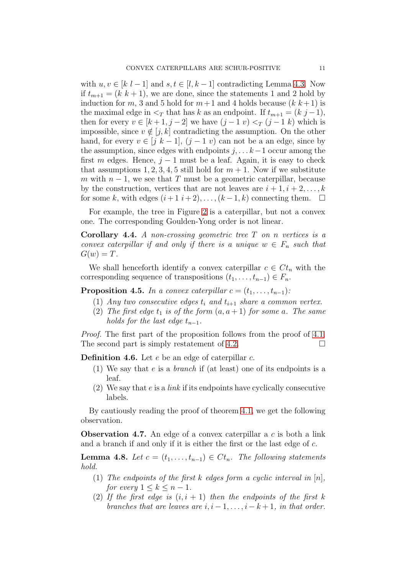with  $u, v \in [k \; l-1]$  and  $s, t \in [l, k-1]$  contradicting Lemma [4.3.](#page-8-1) Now if  $t_{m+1} = (k \; k+1)$ , we are done, since the statements 1 and 2 hold by induction for m, 3 and 5 hold for  $m+1$  and 4 holds because  $(k k+1)$  is the maximal edge in  $\leq_T$  that has k as an endpoint. If  $t_{m+1} = (k \, j-1),$ then for every  $v \in [k+1, j-2]$  we have  $(j-1, v) <_T (j-1, k)$  which is impossible, since  $v \notin [j, k]$  contradicting the assumption. On the other hand, for every  $v \in [j \; k-1]$ ,  $(j-1 \; v)$  can not be a an edge, since by the assumption, since edges with endpoints  $j, \ldots k-1$  occur among the first m edges. Hence,  $j - 1$  must be a leaf. Again, it is easy to check that assumptions 1, 2, 3, 4, 5 still hold for  $m + 1$ . Now if we substitute m with  $n-1$ , we see that T must be a geometric caterpillar, because by the construction, vertices that are not leaves are  $i + 1, i + 2, \ldots, k$ for some k, with edges  $(i+1, i+2), \ldots, (k-1, k)$  connecting them.  $\Box$ 

For example, the tree in Figure [2](#page-6-1) is a caterpillar, but not a convex one. The corresponding Goulden-Yong order is not linear.

**Corollary 4.4.** A non-crossing geometric tree  $T$  on n vertices is a convex caterpillar if and only if there is a unique  $w \in F_n$  such that  $G(w) = T$ .

We shall henceforth identify a convex caterpillar  $c \in C_t$  with the corresponding sequence of transpositions  $(t_1, \ldots, t_{n-1}) \in F_n$ .

<span id="page-10-1"></span>**Proposition 4.5.** In a convex caterpillar  $c = (t_1, \ldots, t_{n-1})$ :

- (1) Any two consecutive edges  $t_i$  and  $t_{i+1}$  share a common vertex.
- (2) The first edge  $t_1$  is of the form  $(a, a + 1)$  for some a. The same holds for the last edge  $t_{n-1}$ .

*Proof.* The first part of the proposition follows from the proof of [4.1.](#page-8-0) The second part is simply restatement of [4.2.](#page-8-2)  $\Box$ 

**Definition 4.6.** Let  $e$  be an edge of caterpillar  $c$ .

- (1) We say that  $e$  is a *branch* if (at least) one of its endpoints is a leaf.
- (2) We say that  $e$  is a *link* if its endpoints have cyclically consecutive labels.

By cautiously reading the proof of theorem [4.1,](#page-8-0) we get the following observation.

<span id="page-10-2"></span>**Observation 4.7.** An edge of a convex caterpillar a c is both a link and a branch if and only if it is either the first or the last edge of c.

<span id="page-10-0"></span>**Lemma 4.8.** Let  $c = (t_1, \ldots, t_{n-1}) \in Ct_n$ . The following statements hold.

- (1) The endpoints of the first k edges form a cyclic interval in  $[n]$ , for every  $1 \leq k \leq n-1$ .
- (2) If the first edge is  $(i, i + 1)$  then the endpoints of the first k branches that are leaves are  $i, i-1, \ldots, i-k+1$ , in that order.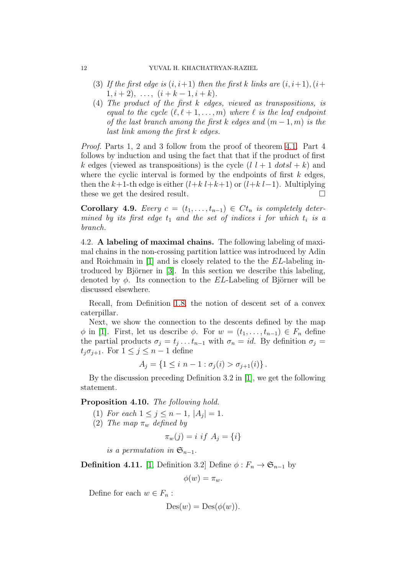- (3) If the first edge is  $(i, i+1)$  then the first k links are  $(i, i+1), (i+1)$  $1, i + 2), \ldots, (i + k - 1, i + k).$
- (4) The product of the first k edges, viewed as transpositions, is equal to the cycle  $(\ell, \ell + 1, \ldots, m)$  where  $\ell$  is the leaf endpoint of the last branch among the first k edges and  $(m-1, m)$  is the last link among the first k edges.

Proof. Parts 1, 2 and 3 follow from the proof of theorem [4.1.](#page-8-0) Part 4 follows by induction and using the fact that that if the product of first k edges (viewed as transpositions) is the cycle  $(l l + 1 dots l + k)$  and where the cyclic interval is formed by the endpoints of first  $k$  edges, then the k+1-th edge is either  $(l+k l+k+1)$  or  $(l+k l-1)$ . Multiplying these we get the desired result.

<span id="page-11-1"></span>**Corollary 4.9.** Every  $c = (t_1, \ldots, t_{n-1}) \in Ct_n$  is completely determined by its first edge  $t_1$  and the set of indices i for which  $t_i$  is a branch.

<span id="page-11-0"></span>4.2. A labeling of maximal chains. The following labeling of maximal chains in the non-crossing partition lattice was introduced by Adin and Roichmain in [\[1\]](#page-16-7) and is closely related to the the EL-labeling introduced by Björner in  $[3]$ . In this section we describe this labeling, denoted by  $\phi$ . Its connection to the EL-Labeling of Björner will be discussed elsewhere.

Recall, from Definition [1.8,](#page-3-2) the notion of descent set of a convex caterpillar.

Next, we show the connection to the descents defined by the map  $\phi$  in [\[1\]](#page-16-7). First, let us describe  $\phi$ . For  $w = (t_1, \ldots, t_{n-1}) \in F_n$  define the partial products  $\sigma_j = t_j \dots t_{n-1}$  with  $\sigma_n = id$ . By definition  $\sigma_j =$  $t_i \sigma_{i+1}$ . For  $1 \leq j \leq n-1$  define

$$
A_j = \{1 \le i \ n-1 : \sigma_j(i) > \sigma_{j+1}(i)\}.
$$

By the discussion preceding Definition 3.2 in [\[1\]](#page-16-7), we get the following statement.

Proposition 4.10. The following hold.

- (1) For each  $1 \leq j \leq n-1, |A_j| = 1$ .
- (2) The map  $\pi_w$  defined by

$$
\pi_w(j) = i \text{ if } A_j = \{i\}
$$

is a permutation in  $\mathfrak{S}_{n-1}$ .

**Definition 4.11.** [\[1,](#page-16-7) Definition 3.2] Define  $\phi : F_n \to \mathfrak{S}_{n-1}$  by

$$
\phi(w)=\pi_w.
$$

Define for each  $w \in F_n$ :

$$
Des(w) = Des(\phi(w)).
$$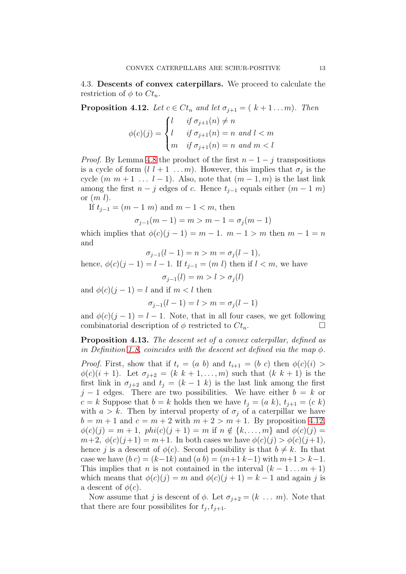<span id="page-12-0"></span>4.3. Descents of convex caterpillars. We proceed to calculate the restriction of  $\phi$  to  $C_t$ .

<span id="page-12-2"></span>**Proposition 4.12.** Let  $c \in Ct_n$  and let  $\sigma_{i+1} = (k+1...m)$ . Then

$$
\phi(c)(j) = \begin{cases} l & \text{if } \sigma_{j+1}(n) \neq n \\ l & \text{if } \sigma_{j+1}(n) = n \text{ and } l < m \\ m & \text{if } \sigma_{j+1}(n) = n \text{ and } m < l \end{cases}
$$

*Proof.* By Lemma [4.8](#page-10-0) the product of the first  $n - 1 - i$  transpositions is a cycle of form  $(l \; l+1 \; \ldots m)$ . However, this implies that  $\sigma_j$  is the cycle  $(m m + 1 ... l - 1)$ . Also, note that  $(m - 1, m)$  is the last link among the first  $n - j$  edges of c. Hence  $t_{i-1}$  equals either  $(m - 1 m)$ or  $(m l)$ .

If  $t_{j-1} = (m-1 \; m)$  and  $m-1 < m$ , then

$$
\sigma_{j-1}(m-1) = m > m - 1 = \sigma_j(m-1)
$$

which implies that  $\phi(c)(j-1) = m-1$ .  $m-1 > m$  then  $m-1 = n$ and

$$
\sigma_{j-1}(l-1) = n > m = \sigma_j(l-1),
$$

hence,  $\phi(c)(j-1) = l-1$ . If  $t_{j-1} = (m \; l)$  then if  $l < m$ , we have  $\sigma_{i-1}(l) = m > l > \sigma_i(l)$ 

and  $\phi(c)(j-1) = l$  and if  $m < l$  then

$$
\sigma_{j-1}(l-1) = l > m = \sigma_j(l-1)
$$

and  $\phi(c)(j-1) = l-1$ . Note, that in all four cases, we get following combinatorial description of  $\phi$  restricted to  $C_t$ .

<span id="page-12-1"></span>Proposition 4.13. The descent set of a convex caterpillar, defined as in Definition [1.8,](#page-3-2) coincides with the descent set defined via the map  $\phi$ .

*Proof.* First, show that if  $t_i = (a \; b)$  and  $t_{i+1} = (b \; c)$  then  $\phi(c)(i) >$  $\phi(c)(i + 1)$ . Let  $\sigma_{j+2} = (k \; k+1, \ldots, m)$  such that  $(k \; k+1)$  is the first link in  $\sigma_{j+2}$  and  $t_j = (k-1 \; k)$  is the last link among the first  $j-1$  edges. There are two possibilities. We have either  $b = k$  or  $c = k$  Suppose that  $b = k$  holds then we have  $t<sub>i</sub> = (a \ k), t<sub>i+1</sub> = (c \ k)$ with  $a > k$ . Then by interval property of  $\sigma_j$  of a caterpillar we have  $b = m + 1$  and  $c = m + 2$  with  $m + 2 > m + 1$ . By proposition [4.12,](#page-12-2)  $\phi(c)(j) = m + 1$ ,  $phi(c)(j + 1) = m$  if  $n \notin \{k, ..., m\}$  and  $\phi(c)(j) =$  $m+2, \ \phi(c)(j+1) = m+1.$  In both cases we have  $\phi(c)(j) > \phi(c)(j+1),$ hence j is a descent of  $\phi(c)$ . Second possibility is that  $b \neq k$ . In that case we have  $(bc) = (k-1k)$  and  $(ab) = (m+1 k-1)$  with  $m+1 > k-1$ . This implies that n is not contained in the interval  $(k - 1 ... m + 1)$ which means that  $\phi(c)(j) = m$  and  $\phi(c)(j + 1) = k - 1$  and again j is a descent of  $\phi(c)$ .

Now assume that j is descent of  $\phi$ . Let  $\sigma_{i+2} = (k \dots m)$ . Note that that there are four possibilities for  $t_j, t_{j+1}$ .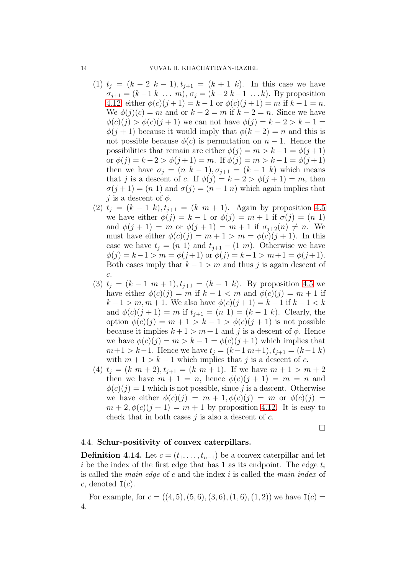- (1)  $t_j = (k-2 \; k-1), t_{j+1} = (k+1 \; k)$ . In this case we have  $\sigma_{j+1} = (k-1 \; k \; \dots \; m), \, \sigma_j = (k-2 \; k-1 \; \dots \; k).$  By proposition [4.12,](#page-12-2) either  $\phi(c)(j+1) = k-1$  or  $\phi(c)(j+1) = m$  if  $k-1 = n$ . We  $\phi(j)(c) = m$  and or  $k - 2 = m$  if  $k - 2 = n$ . Since we have  $\phi(c)(j) > \phi(c)(j + 1)$  we can not have  $\phi(j) = k - 2 > k - 1 =$  $\phi(j+1)$  because it would imply that  $\phi(k-2) = n$  and this is not possible because  $\phi(c)$  is permutation on  $n-1$ . Hence the possibilities that remain are either  $\phi(j) = m > k - 1 = \phi(j + 1)$ or  $\phi(j) = k - 2 > \phi(j + 1) = m$ . If  $\phi(j) = m > k - 1 = \phi(j + 1)$ then we have  $\sigma_i = (n \; k-1), \sigma_{i+1} = (k-1 \; k)$  which means that j is a descent of c. If  $\phi(j) = k - 2 > \phi(j + 1) = m$ , then  $\sigma(j+1) = (n\ 1)$  and  $\sigma(j) = (n-1\ n)$  which again implies that j is a descent of  $\phi$ .
- (2)  $t_j = (k-1 \; k), t_{j+1} = (k \; m+1)$ . Again by proposition [4.5](#page-10-1) we have either  $\phi(j) = k - 1$  or  $\phi(j) = m + 1$  if  $\sigma(j) = (n \ 1)$ and  $\phi(j + 1) = m$  or  $\phi(j + 1) = m + 1$  if  $\sigma_{j+2}(n) \neq n$ . We must have either  $\phi(c)(j) = m + 1 > m = \phi(c)(j + 1)$ . In this case we have  $t_i = (n\ 1)$  and  $t_{i+1} - (1\ m)$ . Otherwise we have  $\phi(j) = k - 1 > m = \phi(j+1)$  or  $\phi(j) = k - 1 > m + 1 = \phi(j+1)$ . Both cases imply that  $k - 1 > m$  and thus j is again descent of c.
- (3)  $t_j = (k-1 \; m+1), t_{j+1} = (k-1 \; k)$ . By proposition [4.5](#page-10-1) we have either  $\phi(c)(j) = m$  if  $k - 1 < m$  and  $\phi(c)(j) = m + 1$  if  $k-1 > m, m+1$ . We also have  $\phi(c)(j+1) = k-1$  if  $k-1 < k$ and  $\phi(c)(j + 1) = m$  if  $t_{j+1} = (n 1) = (k - 1 k)$ . Clearly, the option  $\phi(c)(j) = m + 1 > k - 1 > \phi(c)(j + 1)$  is not possible because it implies  $k + 1 > m + 1$  and j is a descent of  $\phi$ . Hence we have  $\phi(c)(j) = m > k - 1 = \phi(c)(j + 1)$  which implies that  $m+1 > k-1$ . Hence we have  $t_j = (k-1 \, m+1), t_{j+1} = (k-1 \, k)$ with  $m + 1 > k - 1$  which implies that j is a descent of c.
- (4)  $t_j = (k \, m + 2), t_{j+1} = (k \, m + 1).$  If we have  $m + 1 > m + 2$ then we have  $m + 1 = n$ , hence  $\phi(c)(j + 1) = m = n$  and  $\phi(c)(j) = 1$  which is not possible, since j is a descent. Otherwise we have either  $\phi(c)(j) = m + 1, \phi(c)(j) = m$  or  $\phi(c)(j) =$  $m+2, \phi(c)(j+1) = m+1$  by proposition [4.12.](#page-12-2) It is easy to check that in both cases  $j$  is also a descent of  $c$ .

 $\Box$ 

### <span id="page-13-0"></span>4.4. Schur-positivity of convex caterpillars.

**Definition 4.14.** Let  $c = (t_1, \ldots, t_{n-1})$  be a convex caterpillar and let i be the index of the first edge that has 1 as its endpoint. The edge  $t_i$ is called the main edge of c and the index i is called the main index of c, denoted  $I(c)$ .

For example, for  $c = ((4, 5), (5, 6), (3, 6), (1, 6), (1, 2))$  we have  $I(c)$ 4.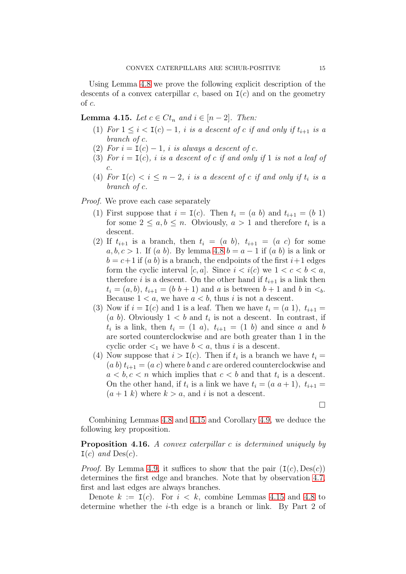Using Lemma [4.8](#page-10-0) we prove the following explicit description of the descents of a convex caterpillar c, based on  $I(c)$  and on the geometry of c.

<span id="page-14-0"></span>**Lemma 4.15.** Let  $c \in Ct_n$  and  $i \in [n-2]$ . Then:

- (1) For  $1 \leq i < I(c) 1$ , i is a descent of c if and only if  $t_{i+1}$  is a branch of c.
- (2) For  $i = I(c) 1$ , i is always a descent of c.
- (3) For  $i = I(c)$ , i is a descent of c if and only if 1 is not a leaf of c.
- (4) For  $I(c) < i \leq n-2$ , i is a descent of c if and only if  $t_i$  is a branch of c.

Proof. We prove each case separately

- (1) First suppose that  $i = I(c)$ . Then  $t_i = (a \; b)$  and  $t_{i+1} = (b \; 1)$ for some  $2 \leq a, b \leq n$ . Obviously,  $a > 1$  and therefore  $t_i$  is a descent.
- (2) If  $t_{i+1}$  is a branch, then  $t_i = (a \; b)$ ,  $t_{i+1} = (a \; c)$  for some  $a, b, c > 1$ . If  $(a, b)$ . By lemma [4.8](#page-10-0)  $b = a - 1$  if  $(a, b)$  is a link or  $b = c+1$  if  $(a, b)$  is a branch, the endpoints of the first  $i+1$  edges form the cyclic interval  $[c, a]$ . Since  $i < i(c)$  we  $1 < c < b < a$ , therefore i is a descent. On the other hand if  $t_{i+1}$  is a link then  $t_i = (a, b), t_{i+1} = (b, b+1)$  and a is between  $b+1$  and b in  $\lt_b$ . Because  $1 < a$ , we have  $a < b$ , thus i is not a descent.
- (3) Now if  $i = I(c)$  and 1 is a leaf. Then we have  $t_i = (a 1), t_{i+1} =$  $(a\;b)$ . Obviously  $1 < b$  and  $t_i$  is not a descent. In contrast, if  $t_i$  is a link, then  $t_i = (1 \t a)$ ,  $t_{i+1} = (1 \t b)$  and since a and b are sorted counterclockwise and are both greater than 1 in the cyclic order  $\leq_1$  we have  $b < a$ , thus i is a descent.
- (4) Now suppose that  $i > I(c)$ . Then if  $t_i$  is a branch we have  $t_i =$  $(a b) t_{i+1} = (a c)$  where b and c are ordered counterclockwise and  $a < b, c < n$  which implies that  $c < b$  and that  $t_i$  is a descent. On the other hand, if  $t_i$  is a link we have  $t_i = (a \ a + 1), t_{i+1} =$  $(a + 1 k)$  where  $k > a$ , and i is not a descent.

 $\Box$ 

Combining Lemmas [4.8](#page-10-0) and [4.15](#page-14-0) and Corollary [4.9,](#page-11-1) we deduce the following key proposition.

Proposition 4.16. A convex caterpillar c is determined uniquely by  $I(c)$  and  $Des(c)$ .

*Proof.* By Lemma [4.9,](#page-11-1) it suffices to show that the pair  $(I(c), Des(c))$ determines the first edge and branches. Note that by observation [4.7,](#page-10-2) first and last edges are always branches.

Denote  $k := I(c)$ . For  $i \leq k$ , combine Lemmas [4.15](#page-14-0) and [4.8](#page-10-0) to determine whether the i-th edge is a branch or link. By Part 2 of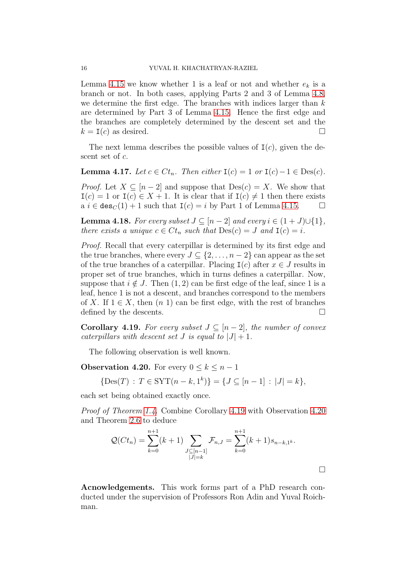Lemma [4.15](#page-14-0) we know whether 1 is a leaf or not and whether  $e_k$  is a branch or not. In both cases, applying Parts 2 and 3 of Lemma [4.8,](#page-10-0) we determine the first edge. The branches with indices larger than  $k$ are determined by Part 3 of Lemma [4.15.](#page-14-0) Hence the first edge and the branches are completely determined by the descent set and the  $k = I(c)$  as desired.

The next lemma describes the possible values of  $I(c)$ , given the descent set of c.

**Lemma 4.17.** Let  $c \in Ct_n$ . Then either  $I(c) = 1$  or  $I(c) - 1 \in Des(c)$ .

*Proof.* Let  $X \subseteq [n-2]$  and suppose that  $Des(c) = X$ . We show that  $I(c) = 1$  or  $I(c) \in X + 1$ . It is clear that if  $I(c) \neq 1$  then there exists a  $i \in \text{des}_C(1) + 1$  such that  $I(c) = i$  by Part 1 of Lemma [4.15.](#page-14-0)  $\Box$ 

**Lemma 4.18.** For every subset  $J \subseteq [n-2]$  and every  $i \in (1+J) \cup \{1\}$ , there exists a unique  $c \in Ct_n$  such that  $Des(c) = J$  and  $I(c) = i$ .

Proof. Recall that every caterpillar is determined by its first edge and the true branches, where every  $J \subseteq \{2, \ldots, n-2\}$  can appear as the set of the true branches of a caterpillar. Placing  $I(c)$  after  $x \in J$  results in proper set of true branches, which in turns defines a caterpillar. Now, suppose that  $i \notin J$ . Then  $(1, 2)$  can be first edge of the leaf, since 1 is a leaf, hence 1 is not a descent, and branches correspond to the members of X. If  $1 \in X$ , then  $(n 1)$  can be first edge, with the rest of branches defined by the descents.  $\Box$ 

<span id="page-15-0"></span>**Corollary 4.19.** For every subset  $J \subseteq [n-2]$ , the number of convex caterpillars with descent set J is equal to  $|J|+1$ .

The following observation is well known.

<span id="page-15-1"></span>**Observation 4.20.** For every  $0 \leq k \leq n-1$ 

 $\{\text{Des}(T) : T \in \text{SYT}(n-k, 1^k)\} = \{J \subseteq [n-1] : |J| = k\},\$ 

each set being obtained exactly once.

Proof of Theorem [1.4.](#page-1-0) Combine Corollary [4.19](#page-15-0) with Observation [4.20](#page-15-1) and Theorem [2.6](#page-5-1) to deduce

$$
\mathcal{Q}(Ct_n) = \sum_{k=0}^{n+1} (k+1) \sum_{\substack{J \subseteq [n-1] \\ |J|=k}} \mathcal{F}_{n,J} = \sum_{k=0}^{n+1} (k+1) s_{n-k,1^k}.
$$

Acnowledgements. This work forms part of a PhD research conducted under the supervision of Professors Ron Adin and Yuval Roichman.